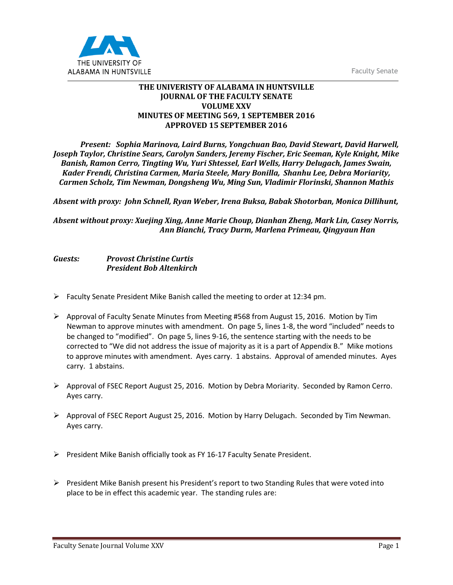Faculty Senate



## **THE UNIVERISTY OF ALABAMA IN HUNTSVILLE JOURNAL OF THE FACULTY SENATE VOLUME XXV MINUTES OF MEETING 569, 1 SEPTEMBER 2016 APPROVED 15 SEPTEMBER 2016**

*Present: Sophia Marinova, Laird Burns, Yongchuan Bao, David Stewart, David Harwell, Joseph Taylor, Christine Sears, Carolyn Sanders, Jeremy Fischer, Eric Seeman, Kyle Knight, Mike Banish, Ramon Cerro, Tingting Wu, Yuri Shtessel, Earl Wells, Harry Delugach, James Swain, Kader Frendi, Christina Carmen, Maria Steele, Mary Bonilla, Shanhu Lee, Debra Moriarity, Carmen Scholz, Tim Newman, Dongsheng Wu, Ming Sun, Vladimir Florinski, Shannon Mathis*

*Absent with proxy: John Schnell, Ryan Weber, Irena Buksa, Babak Shotorban, Monica Dillihunt,* 

*Absent without proxy: Xuejing Xing, Anne Marie Choup, Dianhan Zheng, Mark Lin, Casey Norris, Ann Bianchi, Tracy Durm, Marlena Primeau, Qingyaun Han*

## *Guests: Provost Christine Curtis President Bob Altenkirch*

- Faculty Senate President Mike Banish called the meeting to order at 12:34 pm.
- $\triangleright$  Approval of Faculty Senate Minutes from Meeting #568 from August 15, 2016. Motion by Tim Newman to approve minutes with amendment. On page 5, lines 1-8, the word "included" needs to be changed to "modified". On page 5, lines 9-16, the sentence starting with the needs to be corrected to "We did not address the issue of majority as it is a part of Appendix B." Mike motions to approve minutes with amendment. Ayes carry. 1 abstains. Approval of amended minutes. Ayes carry. 1 abstains.
- $\triangleright$  Approval of FSEC Report August 25, 2016. Motion by Debra Moriarity. Seconded by Ramon Cerro. Ayes carry.
- $\triangleright$  Approval of FSEC Report August 25, 2016. Motion by Harry Delugach. Seconded by Tim Newman. Ayes carry.
- $\triangleright$  President Mike Banish officially took as FY 16-17 Faculty Senate President.
- $\triangleright$  President Mike Banish present his President's report to two Standing Rules that were voted into place to be in effect this academic year. The standing rules are: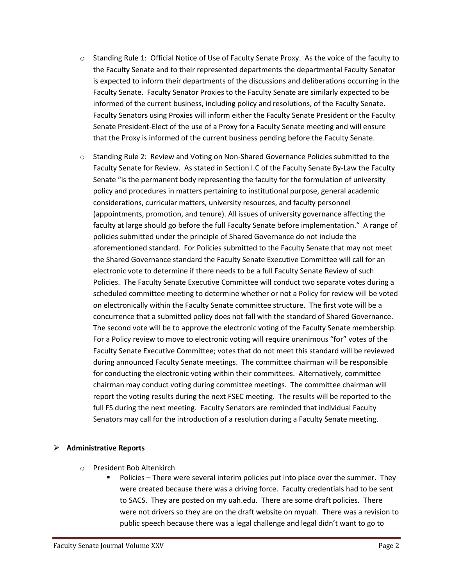- o Standing Rule 1: Official Notice of Use of Faculty Senate Proxy. As the voice of the faculty to the Faculty Senate and to their represented departments the departmental Faculty Senator is expected to inform their departments of the discussions and deliberations occurring in the Faculty Senate. Faculty Senator Proxies to the Faculty Senate are similarly expected to be informed of the current business, including policy and resolutions, of the Faculty Senate. Faculty Senators using Proxies will inform either the Faculty Senate President or the Faculty Senate President-Elect of the use of a Proxy for a Faculty Senate meeting and will ensure that the Proxy is informed of the current business pending before the Faculty Senate.
- o Standing Rule 2: Review and Voting on Non-Shared Governance Policies submitted to the Faculty Senate for Review. As stated in Section I.C of the Faculty Senate By-Law the Faculty Senate "is the permanent body representing the faculty for the formulation of university policy and procedures in matters pertaining to institutional purpose, general academic considerations, curricular matters, university resources, and faculty personnel (appointments, promotion, and tenure). All issues of university governance affecting the faculty at large should go before the full Faculty Senate before implementation." A range of policies submitted under the principle of Shared Governance do not include the aforementioned standard. For Policies submitted to the Faculty Senate that may not meet the Shared Governance standard the Faculty Senate Executive Committee will call for an electronic vote to determine if there needs to be a full Faculty Senate Review of such Policies. The Faculty Senate Executive Committee will conduct two separate votes during a scheduled committee meeting to determine whether or not a Policy for review will be voted on electronically within the Faculty Senate committee structure. The first vote will be a concurrence that a submitted policy does not fall with the standard of Shared Governance. The second vote will be to approve the electronic voting of the Faculty Senate membership. For a Policy review to move to electronic voting will require unanimous "for" votes of the Faculty Senate Executive Committee; votes that do not meet this standard will be reviewed during announced Faculty Senate meetings. The committee chairman will be responsible for conducting the electronic voting within their committees. Alternatively, committee chairman may conduct voting during committee meetings. The committee chairman will report the voting results during the next FSEC meeting. The results will be reported to the full FS during the next meeting. Faculty Senators are reminded that individual Faculty Senators may call for the introduction of a resolution during a Faculty Senate meeting.

## **Administrative Reports**

- o President Bob Altenkirch
	- Policies There were several interim policies put into place over the summer. They were created because there was a driving force. Faculty credentials had to be sent to SACS. They are posted on my uah.edu. There are some draft policies. There were not drivers so they are on the draft website on myuah. There was a revision to public speech because there was a legal challenge and legal didn't want to go to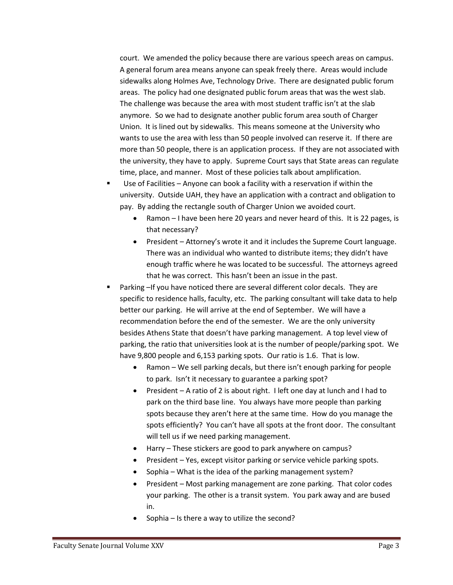court. We amended the policy because there are various speech areas on campus. A general forum area means anyone can speak freely there. Areas would include sidewalks along Holmes Ave, Technology Drive. There are designated public forum areas. The policy had one designated public forum areas that was the west slab. The challenge was because the area with most student traffic isn't at the slab anymore. So we had to designate another public forum area south of Charger Union. It is lined out by sidewalks. This means someone at the University who wants to use the area with less than 50 people involved can reserve it. If there are more than 50 people, there is an application process. If they are not associated with the university, they have to apply. Supreme Court says that State areas can regulate time, place, and manner. Most of these policies talk about amplification.

- Use of Facilities Anyone can book a facility with a reservation if within the university. Outside UAH, they have an application with a contract and obligation to pay. By adding the rectangle south of Charger Union we avoided court.
	- Ramon I have been here 20 years and never heard of this. It is 22 pages, is that necessary?
	- President Attorney's wrote it and it includes the Supreme Court language. There was an individual who wanted to distribute items; they didn't have enough traffic where he was located to be successful. The attorneys agreed that he was correct. This hasn't been an issue in the past.
- Parking –If you have noticed there are several different color decals. They are specific to residence halls, faculty, etc. The parking consultant will take data to help better our parking. He will arrive at the end of September. We will have a recommendation before the end of the semester. We are the only university besides Athens State that doesn't have parking management. A top level view of parking, the ratio that universities look at is the number of people/parking spot. We have 9,800 people and 6,153 parking spots. Our ratio is 1.6. That is low.
	- Ramon We sell parking decals, but there isn't enough parking for people to park. Isn't it necessary to guarantee a parking spot?
	- President A ratio of 2 is about right. I left one day at lunch and I had to park on the third base line. You always have more people than parking spots because they aren't here at the same time. How do you manage the spots efficiently? You can't have all spots at the front door. The consultant will tell us if we need parking management.
	- Harry These stickers are good to park anywhere on campus?
	- President Yes, except visitor parking or service vehicle parking spots.
	- Sophia What is the idea of the parking management system?
	- President Most parking management are zone parking. That color codes your parking. The other is a transit system. You park away and are bused in.
	- Sophia Is there a way to utilize the second?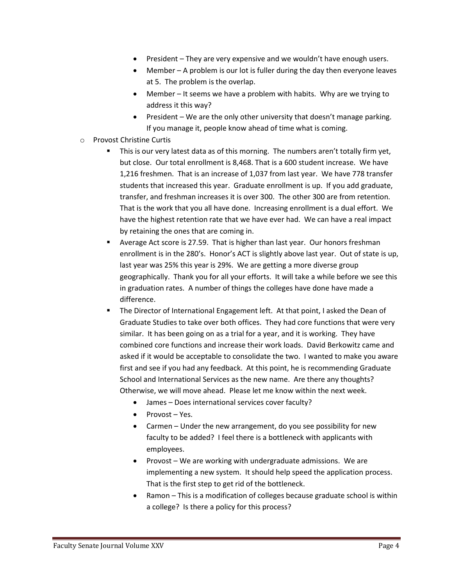- President They are very expensive and we wouldn't have enough users.
- Member A problem is our lot is fuller during the day then everyone leaves at 5. The problem is the overlap.
- Member It seems we have a problem with habits. Why are we trying to address it this way?
- President We are the only other university that doesn't manage parking. If you manage it, people know ahead of time what is coming.
- o Provost Christine Curtis
	- This is our very latest data as of this morning. The numbers aren't totally firm yet, but close. Our total enrollment is 8,468. That is a 600 student increase. We have 1,216 freshmen. That is an increase of 1,037 from last year. We have 778 transfer students that increased this year. Graduate enrollment is up. If you add graduate, transfer, and freshman increases it is over 300. The other 300 are from retention. That is the work that you all have done. Increasing enrollment is a dual effort. We have the highest retention rate that we have ever had. We can have a real impact by retaining the ones that are coming in.
	- Average Act score is 27.59. That is higher than last year. Our honors freshman enrollment is in the 280's. Honor's ACT is slightly above last year. Out of state is up, last year was 25% this year is 29%. We are getting a more diverse group geographically. Thank you for all your efforts. It will take a while before we see this in graduation rates. A number of things the colleges have done have made a difference.
	- The Director of International Engagement left. At that point, I asked the Dean of Graduate Studies to take over both offices. They had core functions that were very similar. It has been going on as a trial for a year, and it is working. They have combined core functions and increase their work loads. David Berkowitz came and asked if it would be acceptable to consolidate the two. I wanted to make you aware first and see if you had any feedback. At this point, he is recommending Graduate School and International Services as the new name. Are there any thoughts? Otherwise, we will move ahead. Please let me know within the next week.
		- James Does international services cover faculty?
		- Provost Yes.
		- Carmen Under the new arrangement, do you see possibility for new faculty to be added? I feel there is a bottleneck with applicants with employees.
		- Provost We are working with undergraduate admissions. We are implementing a new system. It should help speed the application process. That is the first step to get rid of the bottleneck.
		- Ramon This is a modification of colleges because graduate school is within a college? Is there a policy for this process?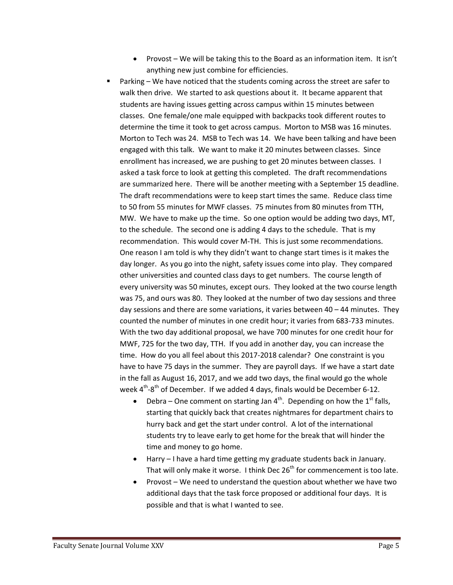- Provost We will be taking this to the Board as an information item. It isn't anything new just combine for efficiencies.
- Parking We have noticed that the students coming across the street are safer to walk then drive. We started to ask questions about it. It became apparent that students are having issues getting across campus within 15 minutes between classes. One female/one male equipped with backpacks took different routes to determine the time it took to get across campus. Morton to MSB was 16 minutes. Morton to Tech was 24. MSB to Tech was 14. We have been talking and have been engaged with this talk. We want to make it 20 minutes between classes. Since enrollment has increased, we are pushing to get 20 minutes between classes. I asked a task force to look at getting this completed. The draft recommendations are summarized here. There will be another meeting with a September 15 deadline. The draft recommendations were to keep start times the same. Reduce class time to 50 from 55 minutes for MWF classes. 75 minutes from 80 minutes from TTH, MW. We have to make up the time. So one option would be adding two days, MT, to the schedule. The second one is adding 4 days to the schedule. That is my recommendation. This would cover M-TH. This is just some recommendations. One reason I am told is why they didn't want to change start times is it makes the day longer. As you go into the night, safety issues come into play. They compared other universities and counted class days to get numbers. The course length of every university was 50 minutes, except ours. They looked at the two course length was 75, and ours was 80. They looked at the number of two day sessions and three day sessions and there are some variations, it varies between  $40 - 44$  minutes. They counted the number of minutes in one credit hour; it varies from 683-733 minutes. With the two day additional proposal, we have 700 minutes for one credit hour for MWF, 725 for the two day, TTH. If you add in another day, you can increase the time. How do you all feel about this 2017-2018 calendar? One constraint is you have to have 75 days in the summer. They are payroll days. If we have a start date in the fall as August 16, 2017, and we add two days, the final would go the whole week 4<sup>th</sup>-8<sup>th</sup> of December. If we added 4 days, finals would be December 6-12.
	- Debra One comment on starting Jan  $4<sup>th</sup>$ . Depending on how the  $1<sup>st</sup>$  falls, starting that quickly back that creates nightmares for department chairs to hurry back and get the start under control. A lot of the international students try to leave early to get home for the break that will hinder the time and money to go home.
	- Harry I have a hard time getting my graduate students back in January. That will only make it worse. I think Dec  $26<sup>th</sup>$  for commencement is too late.
	- Provost We need to understand the question about whether we have two additional days that the task force proposed or additional four days. It is possible and that is what I wanted to see.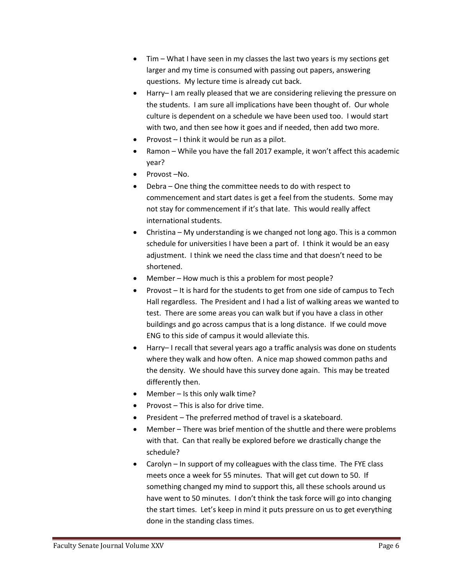- Tim What I have seen in my classes the last two years is my sections get larger and my time is consumed with passing out papers, answering questions. My lecture time is already cut back.
- Harry– I am really pleased that we are considering relieving the pressure on the students. I am sure all implications have been thought of. Our whole culture is dependent on a schedule we have been used too. I would start with two, and then see how it goes and if needed, then add two more.
- Provost I think it would be run as a pilot.
- Ramon While you have the fall 2017 example, it won't affect this academic year?
- Provost-No.
- Debra One thing the committee needs to do with respect to commencement and start dates is get a feel from the students. Some may not stay for commencement if it's that late. This would really affect international students.
- Christina My understanding is we changed not long ago. This is a common schedule for universities I have been a part of. I think it would be an easy adjustment. I think we need the class time and that doesn't need to be shortened.
- Member How much is this a problem for most people?
- Provost It is hard for the students to get from one side of campus to Tech Hall regardless. The President and I had a list of walking areas we wanted to test. There are some areas you can walk but if you have a class in other buildings and go across campus that is a long distance. If we could move ENG to this side of campus it would alleviate this.
- Harry– I recall that several years ago a traffic analysis was done on students where they walk and how often. A nice map showed common paths and the density. We should have this survey done again. This may be treated differently then.
- Member Is this only walk time?
- Provost This is also for drive time.
- President The preferred method of travel is a skateboard.
- Member There was brief mention of the shuttle and there were problems with that. Can that really be explored before we drastically change the schedule?
- Carolyn In support of my colleagues with the class time. The FYE class meets once a week for 55 minutes. That will get cut down to 50. If something changed my mind to support this, all these schools around us have went to 50 minutes. I don't think the task force will go into changing the start times. Let's keep in mind it puts pressure on us to get everything done in the standing class times.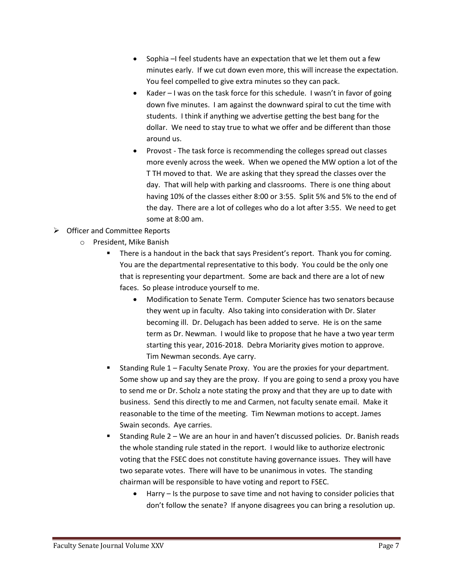- Sophia –I feel students have an expectation that we let them out a few minutes early. If we cut down even more, this will increase the expectation. You feel compelled to give extra minutes so they can pack.
- Kader I was on the task force for this schedule. I wasn't in favor of going down five minutes. I am against the downward spiral to cut the time with students. I think if anything we advertise getting the best bang for the dollar. We need to stay true to what we offer and be different than those around us.
- Provost The task force is recommending the colleges spread out classes more evenly across the week. When we opened the MW option a lot of the T TH moved to that. We are asking that they spread the classes over the day. That will help with parking and classrooms. There is one thing about having 10% of the classes either 8:00 or 3:55. Split 5% and 5% to the end of the day. There are a lot of colleges who do a lot after 3:55. We need to get some at 8:00 am.
- **▶** Officer and Committee Reports
	- o President, Mike Banish
		- There is a handout in the back that says President's report. Thank you for coming. You are the departmental representative to this body. You could be the only one that is representing your department. Some are back and there are a lot of new faces. So please introduce yourself to me.
			- Modification to Senate Term. Computer Science has two senators because they went up in faculty. Also taking into consideration with Dr. Slater becoming ill. Dr. Delugach has been added to serve. He is on the same term as Dr. Newman. I would like to propose that he have a two year term starting this year, 2016-2018. Debra Moriarity gives motion to approve. Tim Newman seconds. Aye carry.
		- Standing Rule 1 Faculty Senate Proxy. You are the proxies for your department. Some show up and say they are the proxy. If you are going to send a proxy you have to send me or Dr. Scholz a note stating the proxy and that they are up to date with business. Send this directly to me and Carmen, not faculty senate email. Make it reasonable to the time of the meeting. Tim Newman motions to accept. James Swain seconds. Aye carries.
		- Standing Rule 2 We are an hour in and haven't discussed policies. Dr. Banish reads the whole standing rule stated in the report. I would like to authorize electronic voting that the FSEC does not constitute having governance issues. They will have two separate votes. There will have to be unanimous in votes. The standing chairman will be responsible to have voting and report to FSEC.
			- Harry Is the purpose to save time and not having to consider policies that don't follow the senate? If anyone disagrees you can bring a resolution up.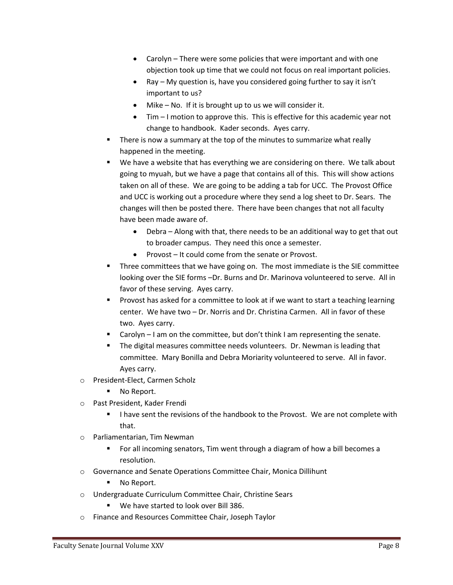- Carolyn There were some policies that were important and with one objection took up time that we could not focus on real important policies.
- Ray My question is, have you considered going further to say it isn't important to us?
- Mike No. If it is brought up to us we will consider it.
- Tim I motion to approve this. This is effective for this academic year not change to handbook. Kader seconds. Ayes carry.
- There is now a summary at the top of the minutes to summarize what really happened in the meeting.
- We have a website that has everything we are considering on there. We talk about going to myuah, but we have a page that contains all of this. This will show actions taken on all of these. We are going to be adding a tab for UCC. The Provost Office and UCC is working out a procedure where they send a log sheet to Dr. Sears. The changes will then be posted there. There have been changes that not all faculty have been made aware of.
	- Debra Along with that, there needs to be an additional way to get that out to broader campus. They need this once a semester.
	- Provost It could come from the senate or Provost.
- **Three committees that we have going on. The most immediate is the SIE committee** looking over the SIE forms –Dr. Burns and Dr. Marinova volunteered to serve. All in favor of these serving. Ayes carry.
- **Provost has asked for a committee to look at if we want to start a teaching learning** center. We have two – Dr. Norris and Dr. Christina Carmen. All in favor of these two. Ayes carry.
- Carolyn I am on the committee, but don't think I am representing the senate.
- The digital measures committee needs volunteers. Dr. Newman is leading that committee. Mary Bonilla and Debra Moriarity volunteered to serve. All in favor. Ayes carry.
- o President-Elect, Carmen Scholz
	- No Report.
- o Past President, Kader Frendi
	- I have sent the revisions of the handbook to the Provost. We are not complete with that.
- o Parliamentarian, Tim Newman
	- For all incoming senators, Tim went through a diagram of how a bill becomes a resolution.
- o Governance and Senate Operations Committee Chair, Monica Dillihunt
	- No Report.
- o Undergraduate Curriculum Committee Chair, Christine Sears
	- We have started to look over Bill 386.
- o Finance and Resources Committee Chair, Joseph Taylor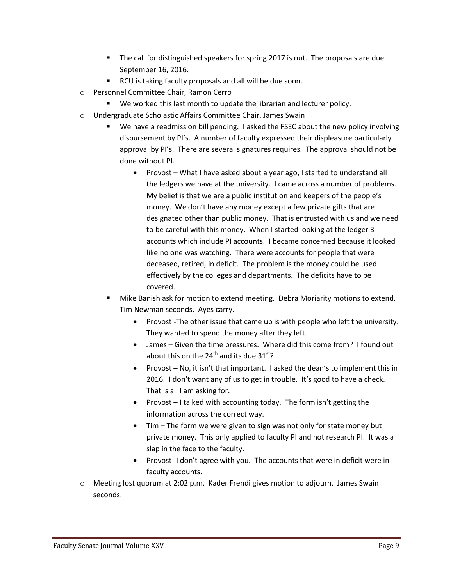- The call for distinguished speakers for spring 2017 is out. The proposals are due September 16, 2016.
- RCU is taking faculty proposals and all will be due soon.
- o Personnel Committee Chair, Ramon Cerro
	- We worked this last month to update the librarian and lecturer policy.
- o Undergraduate Scholastic Affairs Committee Chair, James Swain
	- We have a readmission bill pending. I asked the FSEC about the new policy involving disbursement by PI's. A number of faculty expressed their displeasure particularly approval by PI's. There are several signatures requires. The approval should not be done without PI.
		- Provost What I have asked about a year ago, I started to understand all the ledgers we have at the university. I came across a number of problems. My belief is that we are a public institution and keepers of the people's money. We don't have any money except a few private gifts that are designated other than public money. That is entrusted with us and we need to be careful with this money. When I started looking at the ledger 3 accounts which include PI accounts. I became concerned because it looked like no one was watching. There were accounts for people that were deceased, retired, in deficit. The problem is the money could be used effectively by the colleges and departments. The deficits have to be covered.
	- Mike Banish ask for motion to extend meeting. Debra Moriarity motions to extend. Tim Newman seconds. Ayes carry.
		- Provost -The other issue that came up is with people who left the university. They wanted to spend the money after they left.
		- James Given the time pressures. Where did this come from? I found out about this on the 24<sup>th</sup> and its due 31<sup>st</sup>?
		- Provost No, it isn't that important. I asked the dean's to implement this in 2016. I don't want any of us to get in trouble. It's good to have a check. That is all I am asking for.
		- Provost  $-1$  talked with accounting today. The form isn't getting the information across the correct way.
		- Tim The form we were given to sign was not only for state money but private money. This only applied to faculty PI and not research PI. It was a slap in the face to the faculty.
		- Provost- I don't agree with you. The accounts that were in deficit were in faculty accounts.
- o Meeting lost quorum at 2:02 p.m. Kader Frendi gives motion to adjourn. James Swain seconds.